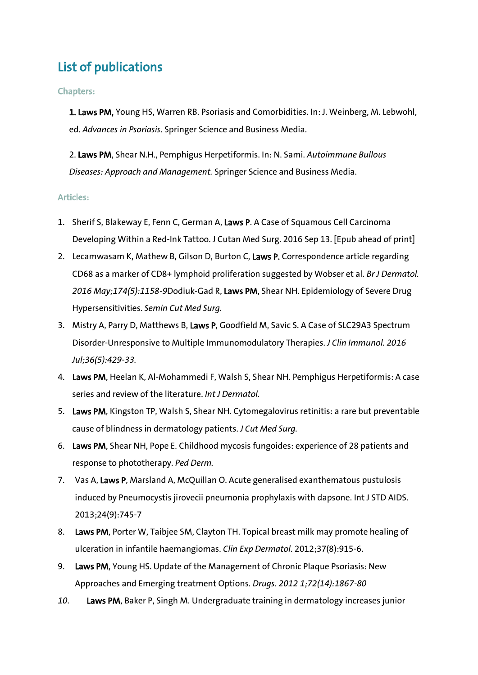## List of publications

## Chapters:

1. Laws PM, Young HS, Warren RB. Psoriasis and Comorbidities. In: J. Weinberg, M. Lebwohl, ed. *Advances in Psoriasis*. Springer Science and Business Media.

2. Laws PM, Shear N.H., Pemphigus Herpetiformis. In: N. Sami. *Autoimmune Bullous Diseases: Approach and Management.* Springer Science and Business Media.

## Articles:

- 1. Sherif S, Blakeway E, Fenn C, German A, Laws P. A Case of Squamous Cell Carcinoma Developing Within a Red-Ink Tattoo. J Cutan Med Surg. 2016 Sep 13. [Epub ahead of print]
- 2. Lecamwasam K, Mathew B, Gilson D, Burton C, Laws P. Correspondence article regarding CD68 as a marker of CD8+ lymphoid proliferation suggested by Wobser et al. *Br J Dermatol. 2016 May;174(5):1158-9*Dodiuk-Gad R, Laws PM, Shear NH. Epidemiology of Severe Drug Hypersensitivities. *Semin Cut Med Surg.*
- 3. Mistry A, Parry D, Matthews B, Laws P, Goodfield M, Savic S. A Case of SLC29A3 Spectrum Disorder-Unresponsive to Multiple Immunomodulatory Therapies. *J Clin Immunol. 2016 Jul;36(5):429-33.*
- 4. Laws PM, Heelan K, Al-Mohammedi F, Walsh S, Shear NH. Pemphigus Herpetiformis: A case series and review of the literature. *Int J Dermatol.*
- 5. Laws PM, Kingston TP, Walsh S, Shear NH. Cytomegalovirus retinitis: a rare but preventable cause of blindness in dermatology patients. *J Cut Med Surg.*
- 6. Laws PM, Shear NH, Pope E. Childhood mycosis fungoides: experience of 28 patients and response to phototherapy. *Ped Derm.*
- 7. Vas A, Laws P, Marsland A, McQuillan O. Acute generalised exanthematous pustulosis induced by Pneumocystis jirovecii pneumonia prophylaxis with dapsone. Int J STD AIDS. 2013;24(9):745-7
- 8. Laws PM, Porter W, Taibjee SM, Clayton TH. Topical breast milk may promote healing of ulceration in infantile haemangiomas. *Clin Exp Dermatol*. 2012;37(8):915-6.
- 9. Laws PM, Young HS. Update of the Management of Chronic Plaque Psoriasis: New Approaches and Emerging treatment Options. *Drugs. 2012 1;72(14):1867-80*
- *10.* Laws PM, Baker P, Singh M. Undergraduate training in dermatology increases junior